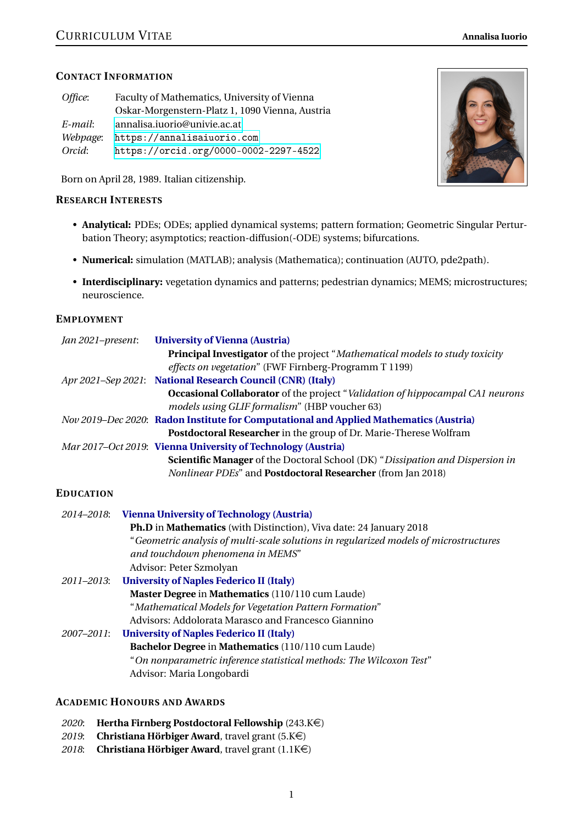## **CONTACT INFORMATION**

| Faculty of Mathematics, University of Vienna    |  |
|-------------------------------------------------|--|
| Oskar-Morgenstern-Platz 1, 1090 Vienna, Austria |  |
| annalisa.iuorio@univie.ac.at                    |  |
| https://annalisaiuorio.com                      |  |
| https://orcid.org/0000-0002-2297-4522           |  |
|                                                 |  |

Born on April 28, 1989. Italian citizenship.

## **RESEARCH INTERESTS**

- **Analytical:** PDEs; ODEs; applied dynamical systems; pattern formation; Geometric Singular Perturbation Theory; asymptotics; reaction-diffusion(-ODE) systems; bifurcations.
- **Numerical:** simulation (MATLAB); analysis (Mathematica); continuation (AUTO, pde2path).
- **Interdisciplinary:** vegetation dynamics and patterns; pedestrian dynamics; MEMS; microstructures; neuroscience.

## **EMPLOYMENT**

| Jan 2021-present: | <b>University of Vienna (Austria)</b>                                                  |
|-------------------|----------------------------------------------------------------------------------------|
|                   | <b>Principal Investigator</b> of the project "Mathematical models to study toxicity    |
|                   | effects on vegetation" (FWF Firnberg-Programm T 1199)                                  |
|                   | Apr 2021-Sep 2021: National Research Council (CNR) (Italy)                             |
|                   | <b>Occasional Collaborator</b> of the project "Validation of hippocampal CA1 neurons"  |
|                   | models using GLIF formalism" (HBP voucher 63)                                          |
|                   | Nov 2019–Dec 2020: Radon Institute for Computational and Applied Mathematics (Austria) |
|                   | Postdoctoral Researcher in the group of Dr. Marie-Therese Wolfram                      |
|                   | Mar 2017-Oct 2019: Vienna University of Technology (Austria)                           |
|                   | <b>Scientific Manager</b> of the Doctoral School (DK) "Dissipation and Dispersion in   |
|                   | <i>Nonlinear PDEs</i> " and <b>Postdoctoral Researcher</b> (from Jan 2018)             |
|                   |                                                                                        |

## **EDUCATION**

| 2014–2018: | <b>Vienna University of Technology (Austria)</b>                                      |
|------------|---------------------------------------------------------------------------------------|
|            | <b>Ph.D</b> in Mathematics (with Distinction), Viva date: 24 January 2018             |
|            | "Geometric analysis of multi-scale solutions in regularized models of microstructures |
|            | and touchdown phenomena in MEMS"                                                      |
|            | Advisor: Peter Szmolyan                                                               |
| 2011-2013: | <b>University of Naples Federico II (Italy)</b>                                       |
|            | Master Degree in Mathematics (110/110 cum Laude)                                      |
|            | "Mathematical Models for Vegetation Pattern Formation"                                |
|            | Advisors: Addolorata Marasco and Francesco Giannino                                   |
| 2007–2011: | <b>University of Naples Federico II (Italy)</b>                                       |
|            | Bachelor Degree in Mathematics (110/110 cum Laude)                                    |
|            | "On nonparametric inference statistical methods: The Wilcoxon Test"                   |
|            | Advisor: Maria Longobardi                                                             |
|            |                                                                                       |

#### **ACADEMIC HONOURS AND AWARDS**

- 2020: **Hertha Firnberg Postdoctoral Fellowship** (243.K€)
- 2019: **Christiana Hörbiger Award**, travel grant (5.K€)
- 2018: **Christiana Hörbiger Award**, travel grant  $(1.1K\epsilon)$

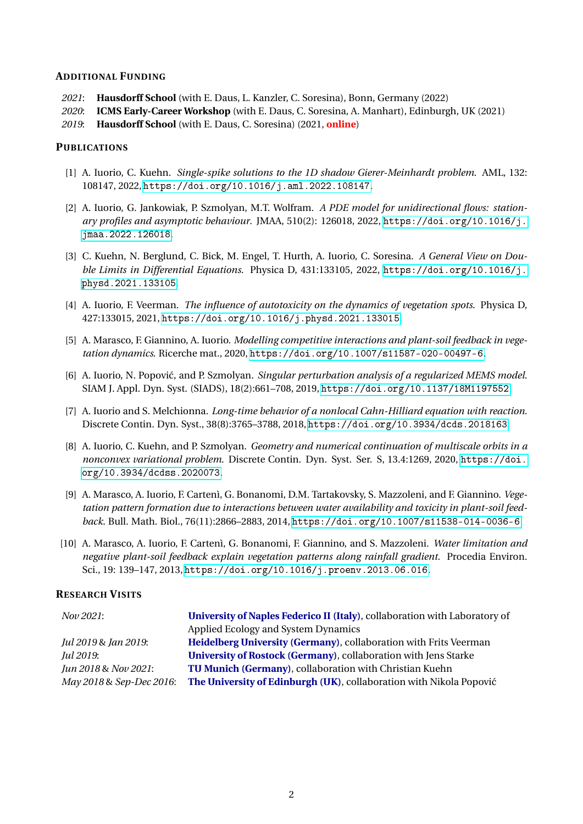#### **ADDITIONAL FUNDING**

- *2021*: **Hausdorff School** (with E. Daus, L. Kanzler, C. Soresina), Bonn, Germany (2022)
- *2020*: **ICMS Early-Career Workshop** (with E. Daus, C. Soresina, A. Manhart), Edinburgh, UK (2021)
- *2019*: **Hausdorff School** (with E. Daus, C. Soresina) (2021, **online**)

#### **PUBLICATIONS**

- [1] A. Iuorio, C. Kuehn. *Single-spike solutions to the 1D shadow Gierer-Meinhardt problem*. AML, 132: 108147, 2022, <https://doi.org/10.1016/j.aml.2022.108147>.
- [2] A. Iuorio, G. Jankowiak, P. Szmolyan, M.T. Wolfram. *A PDE model for unidirectional flows: stationary profiles and asymptotic behaviour*. JMAA, 510(2): 126018, 2022, [https://doi.org/10.1016/j.](https://doi.org/10.1016/j.jmaa.2022.126018) [jmaa.2022.126018](https://doi.org/10.1016/j.jmaa.2022.126018).
- [3] C. Kuehn, N. Berglund, C. Bick, M. Engel, T. Hurth, A. Iuorio, C. Soresina. *A General View on Double Limits in Differential Equations*. Physica D, 431:133105, 2022, [https://doi.org/10.1016/j.](https://doi.org/10.1016/j.physd.2021.133105) [physd.2021.133105](https://doi.org/10.1016/j.physd.2021.133105).
- [4] A. Iuorio, F. Veerman. *The influence of autotoxicity on the dynamics of vegetation spots*. Physica D, 427:133015, 2021, <https://doi.org/10.1016/j.physd.2021.133015>.
- [5] A. Marasco, F. Giannino, A. Iuorio. *Modelling competitive interactions and plant-soil feedback in vegetation dynamics*. Ricerche mat., 2020, <https://doi.org/10.1007/s11587-020-00497-6>.
- [6] A. Iuorio, N. Popović, and P. Szmolyan. *Singular perturbation analysis of a regularized MEMS model*. SIAM J. Appl. Dyn. Syst. (SIADS), 18(2):661–708, 2019, <https://doi.org/10.1137/18M1197552>.
- [7] A. Iuorio and S. Melchionna. *Long-time behavior of a nonlocal Cahn-Hilliard equation with reaction*. Discrete Contin. Dyn. Syst., 38(8):3765–3788, 2018, <https://doi.org/10.3934/dcds.2018163>.
- [8] A. Iuorio, C. Kuehn, and P. Szmolyan. *Geometry and numerical continuation of multiscale orbits in a nonconvex variational problem*. Discrete Contin. Dyn. Syst. Ser. S, 13.4:1269, 2020, [https://doi.](https://doi.org/10.3934/dcdss.2020073) [org/10.3934/dcdss.2020073](https://doi.org/10.3934/dcdss.2020073).
- [9] A. Marasco, A. Iuorio, F. Cartenì, G. Bonanomi, D.M. Tartakovsky, S. Mazzoleni, and F. Giannino. *Vegetation pattern formation due to interactions between water availability and toxicity in plant-soil feedback*. Bull. Math. Biol., 76(11):2866–2883, 2014, <https://doi.org/10.1007/s11538-014-0036-6>.
- [10] A. Marasco, A. Iuorio, F. Cartenì, G. Bonanomi, F. Giannino, and S. Mazzoleni. *Water limitation and negative plant-soil feedback explain vegetation patterns along rainfall gradient*. Procedia Environ. Sci., 19: 139–147, 2013, <https://doi.org/10.1016/j.proenv.2013.06.016>.

#### **RESEARCH VISITS**

| <i>Nov 2021:</i>         | University of Naples Federico II (Italy), collaboration with Laboratory of |  |
|--------------------------|----------------------------------------------------------------------------|--|
|                          | Applied Ecology and System Dynamics                                        |  |
| Jul 2019 & Jan 2019:     | <b>Heidelberg University (Germany), collaboration with Frits Veerman</b>   |  |
| Jul 2019:                | University of Rostock (Germany), collaboration with Jens Starke            |  |
| Jun 2018 & Nov 2021:     | TU Munich (Germany), collaboration with Christian Kuehn                    |  |
| May 2018 & Sep-Dec 2016: | The University of Edinburgh (UK), collaboration with Nikola Popović        |  |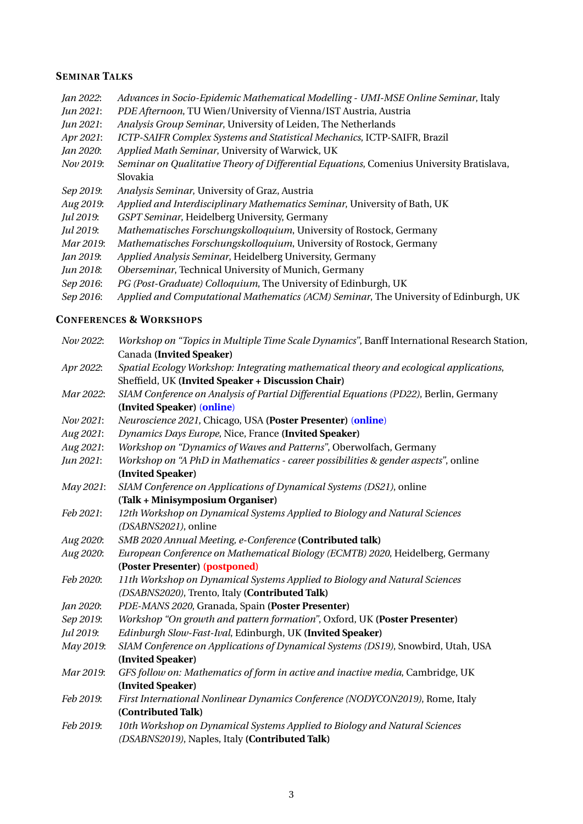## **SEMINAR TALKS**

*Jan 2022*: *Advances in Socio-Epidemic Mathematical Modelling - UMI-MSE Online Seminar*, Italy *Jun 2021*: *PDE Afternoon*, TU Wien/University of Vienna/IST Austria, Austria *Jun 2021*: *Analysis Group Seminar*, University of Leiden, The Netherlands *Apr 2021*: *ICTP-SAIFR Complex Systems and Statistical Mechanics*, ICTP-SAIFR, Brazil *Jan 2020*: *Applied Math Seminar*, University of Warwick, UK *Nov 2019*: *Seminar on Qualitative Theory of Differential Equations*, Comenius University Bratislava, Slovakia *Sep 2019*: *Analysis Seminar*, University of Graz, Austria *Aug 2019*: *Applied and Interdisciplinary Mathematics Seminar*, University of Bath, UK *Jul 2019*: *GSPT Seminar*, Heidelberg University, Germany *Jul 2019*: *Mathematisches Forschungskolloquium*, University of Rostock, Germany *Mar 2019*: *Mathematisches Forschungskolloquium*, University of Rostock, Germany *Jan 2019*: *Applied Analysis Seminar*, Heidelberg University, Germany *Jun 2018*: *Oberseminar*, Technical University of Munich, Germany *Sep 2016*: *PG (Post-Graduate) Colloquium*, The University of Edinburgh, UK *Sep 2016*: *Applied and Computational Mathematics (ACM) Seminar*, The University of Edinburgh, UK

## **CONFERENCES & WORKSHOPS**

| Nov 2022: | Workshop on "Topics in Multiple Time Scale Dynamics", Banff International Research Station, |
|-----------|---------------------------------------------------------------------------------------------|
|           | Canada (Invited Speaker)                                                                    |
| Apr 2022: | Spatial Ecology Workshop: Integrating mathematical theory and ecological applications,      |
|           | Sheffield, UK (Invited Speaker + Discussion Chair)                                          |
| Mar 2022: | SIAM Conference on Analysis of Partial Differential Equations (PD22), Berlin, Germany       |
|           | (Invited Speaker) (online)                                                                  |
| Nov 2021: | Neuroscience 2021, Chicago, USA (Poster Presenter) (online)                                 |
| Aug 2021: | Dynamics Days Europe, Nice, France (Invited Speaker)                                        |
| Aug 2021: | Workshop on "Dynamics of Waves and Patterns", Oberwolfach, Germany                          |
| Jun 2021: | Workshop on "A PhD in Mathematics - career possibilities & gender aspects", online          |
|           | (Invited Speaker)                                                                           |
| May 2021: | SIAM Conference on Applications of Dynamical Systems (DS21), online                         |
|           | (Talk + Minisymposium Organiser)                                                            |
| Feb 2021: | 12th Workshop on Dynamical Systems Applied to Biology and Natural Sciences                  |
|           | (DSABNS2021), online                                                                        |
| Aug 2020: | SMB 2020 Annual Meeting, e-Conference (Contributed talk)                                    |
| Aug 2020: | European Conference on Mathematical Biology (ECMTB) 2020, Heidelberg, Germany               |
|           | (Poster Presenter) (postponed)                                                              |
| Feb 2020: | 11th Workshop on Dynamical Systems Applied to Biology and Natural Sciences                  |
|           | (DSABNS2020), Trento, Italy (Contributed Talk)                                              |
| Jan 2020: | PDE-MANS 2020, Granada, Spain (Poster Presenter)                                            |
| Sep 2019: | Workshop "On growth and pattern formation", Oxford, UK (Poster Presenter)                   |
| Jul 2019: | Edinburgh Slow-Fast-Ival, Edinburgh, UK (Invited Speaker)                                   |
| May 2019: | SIAM Conference on Applications of Dynamical Systems (DS19), Snowbird, Utah, USA            |
|           | (Invited Speaker)                                                                           |
| Mar 2019: | GFS follow on: Mathematics of form in active and inactive media, Cambridge, UK              |
|           | (Invited Speaker)                                                                           |
| Feb 2019: | First International Nonlinear Dynamics Conference (NODYCON2019), Rome, Italy                |
|           | (Contributed Talk)                                                                          |
| Feb 2019: | 10th Workshop on Dynamical Systems Applied to Biology and Natural Sciences                  |
|           | (DSABNS2019), Naples, Italy (Contributed Talk)                                              |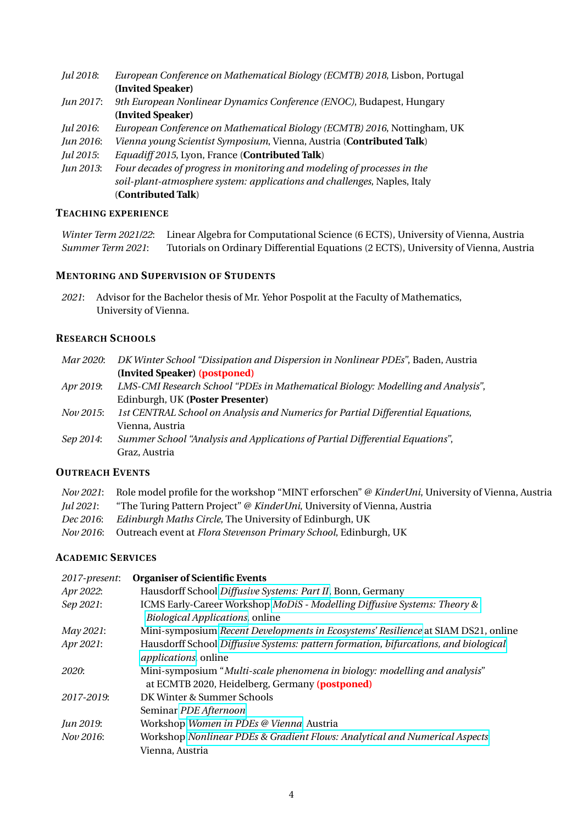- *Jul 2018*: *European Conference on Mathematical Biology (ECMTB) 2018*, Lisbon, Portugal **(Invited Speaker)**
- *Jun 2017*: *9th European Nonlinear Dynamics Conference (ENOC)*, Budapest, Hungary **(Invited Speaker)**
- *Jul 2016*: *European Conference on Mathematical Biology (ECMTB) 2016*, Nottingham, UK
- *Jun 2016*: *Vienna young Scientist Symposium*, Vienna, Austria (**Contributed Talk**)
- *Jul 2015*: *Equadiff 2015*, Lyon, France (**Contributed Talk**)
- *Jun 2013*: *Four decades of progress in monitoring and modeling of processes in the soil-plant-atmosphere system: applications and challenges*, Naples, Italy (**Contributed Talk**)

#### **TEACHING EXPERIENCE**

*Winter Term 2021/22*: Linear Algebra for Computational Science (6 ECTS), University of Vienna, Austria *Summer Term 2021*: Tutorials on Ordinary Differential Equations (2 ECTS), University of Vienna, Austria

## **MENTORING AND SUPERVISION OF STUDENTS**

*2021*: Advisor for the Bachelor thesis of Mr. Yehor Pospolit at the Faculty of Mathematics, University of Vienna.

### **RESEARCH SCHOOLS**

|                  | Mar 2020: DK Winter School "Dissipation and Dispersion in Nonlinear PDEs", Baden, Austria |
|------------------|-------------------------------------------------------------------------------------------|
|                  | (Invited Speaker) (postponed)                                                             |
| Apr 2019:        | LMS-CMI Research School "PDEs in Mathematical Biology: Modelling and Analysis",           |
|                  | Edinburgh, UK (Poster Presenter)                                                          |
| <i>Nov 2015:</i> | 1st CENTRAL School on Analysis and Numerics for Partial Differential Equations,           |
|                  | Vienna, Austria                                                                           |
| Sep 2014:        | Summer School "Analysis and Applications of Partial Differential Equations",              |
|                  | Graz, Austria                                                                             |
|                  |                                                                                           |

#### **OUTREACH EVENTS**

|           | <i>Nov 2021</i> : Role model profile for the workshop "MINT erforschen" @ KinderUni, University of Vienna, Austria |
|-----------|--------------------------------------------------------------------------------------------------------------------|
| Jul 2021: | "The Turing Pattern Project" @ KinderUni, University of Vienna, Austria                                            |
| Dec 2016: | <i>Edinburgh Maths Circle</i> , The University of Edinburgh, UK                                                    |
|           | Nov 2016: Outreach event at <i>Flora Stevenson Primary School</i> , Edinburgh, UK                                  |

#### **ACADEMIC SERVICES**

| 2017-present: | <b>Organiser of Scientific Events</b>                                                                                       |
|---------------|-----------------------------------------------------------------------------------------------------------------------------|
| Apr 2022:     | Hausdorff School Diffusive Systems: Part II, Bonn, Germany                                                                  |
| Sep 2021:     | ICMS Early-Career Workshop MoDiS - Modelling Diffusive Systems: Theory &                                                    |
|               | <b>Biological Applications, online</b>                                                                                      |
| May 2021:     | Mini-symposium Recent Developments in Ecosystems' Resilience at SIAM DS21, online                                           |
| Apr 2021:     | Hausdorff School Diffusive Systems: pattern formation, bifurcations, and biological<br><i>applications</i> , online         |
| <i>2020:</i>  | Mini-symposium "Multi-scale phenomena in biology: modelling and analysis"<br>at ECMTB 2020, Heidelberg, Germany (postponed) |
| 2017-2019:    | DK Winter & Summer Schools                                                                                                  |
|               | Seminar PDE Afternoon                                                                                                       |
| Jun 2019:     | Workshop Women in PDEs @ Vienna, Austria                                                                                    |
| Nov 2016:     | Workshop Nonlinear PDEs & Gradient Flows: Analytical and Numerical Aspects,                                                 |
|               | Vienna, Austria                                                                                                             |